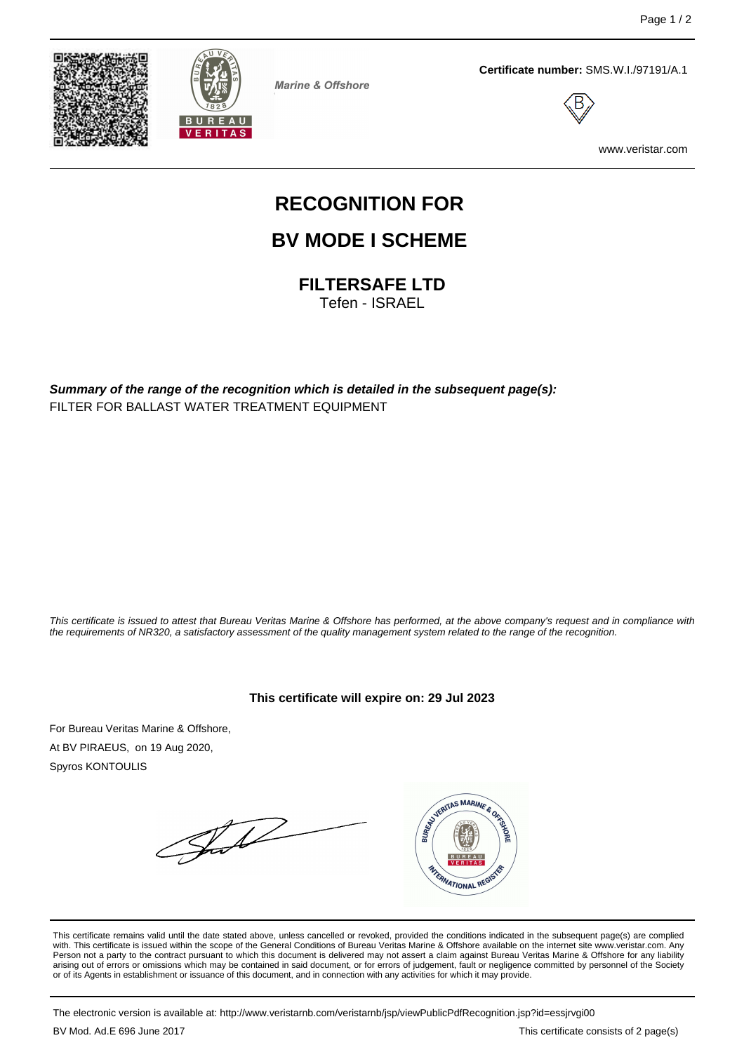



**Marine & Offshore** 

**Certificate number:** SMS.W.I./97191/A.1



www.veristar.com

# **RECOGNITION FOR**

## **BV MODE I SCHEME**

**FILTERSAFE LTD**

Tefen - ISRAEL

**Summary of the range of the recognition which is detailed in the subsequent page(s):** FILTER FOR BALLAST WATER TREATMENT EQUIPMENT

This certificate is issued to attest that Bureau Veritas Marine & Offshore has performed, at the above company's request and in compliance with the requirements of NR320, a satisfactory assessment of the quality management system related to the range of the recognition.

**This certificate will expire on: 29 Jul 2023**

For Bureau Veritas Marine & Offshore, At BV PIRAEUS, on 19 Aug 2020, Spyros KONTOULIS

Jul



This certificate remains valid until the date stated above, unless cancelled or revoked, provided the conditions indicated in the subsequent page(s) are complied with. This certificate is issued within the scope of the General Conditions of Bureau Veritas Marine & Offshore available on the internet site www.veristar.com. Any Person not a party to the contract pursuant to which this document is delivered may not assert a claim against Bureau Veritas Marine & Offshore for any liability arising out of errors or omissions which may be contained in said document, or for errors of judgement, fault or negligence committed by personnel of the Society<br>or of its Agents in establishment or issuance of this docume

The electronic version is available at: http://www.veristarnb.com/veristarnb/jsp/viewPublicPdfRecognition.jsp?id=essjrvgi00